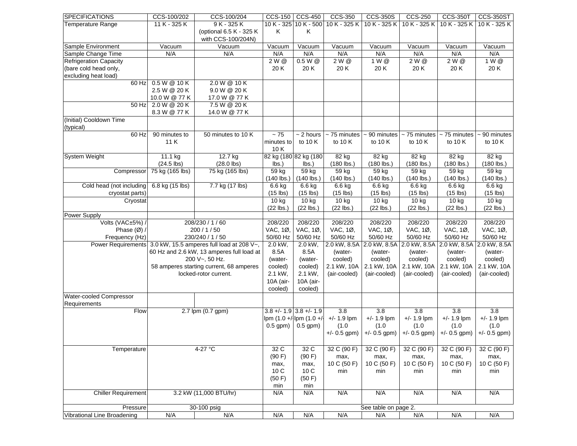| <b>SPECIFICATIONS</b>         | CCS-100/202                                                  | CCS-100/204                             | $CCS-150$            | <b>CCS-450</b>             | <b>CCS-350</b>               | <b>CCS-350S</b>                        | <b>CCS-250</b>               | <b>CCS-350T</b> | <b>CCS-350ST</b>  |
|-------------------------------|--------------------------------------------------------------|-----------------------------------------|----------------------|----------------------------|------------------------------|----------------------------------------|------------------------------|-----------------|-------------------|
| <b>Temperature Range</b>      | 11 K - 325 K                                                 | 9 K - 325 K                             | 10K - 325            | $10 K - 500$               | 10 K - 325 K                 | 10 K - 325 K                           | 10 K - 325 K                 | 10 K - 325 K    | 10 K - 325 K      |
|                               |                                                              | (optional 6.5 K - 325 K                 | Κ                    | Κ                          |                              |                                        |                              |                 |                   |
|                               |                                                              | with CCS-100/204N)                      |                      |                            |                              |                                        |                              |                 |                   |
| Sample Environment            | Vacuum                                                       | Vacuum                                  | $\overline{V}$ acuum | $\overline{V}$ acuum       | Vacuum                       | $\overline{V}$ acuum                   | Vacuum                       | Vacuum          | Vacuum            |
| Sample Change Time            | N/A                                                          | N/A                                     | N/A                  | N/A                        | N/A                          | N/A                                    | N/A                          | N/A             | N/A               |
| <b>Refrigeration Capacity</b> |                                                              |                                         | 2 W @                | $0.5 W$ @                  | 2 W @                        | 1 W @                                  | 2 W @                        | 2 W @           | 1 W @             |
| (bare cold head only,         |                                                              |                                         | 20K                  | 20K                        | 20K                          | 20K                                    | 20K                          | 20K             | 20 K              |
|                               |                                                              |                                         |                      |                            |                              |                                        |                              |                 |                   |
| excluding heat load)          |                                                              |                                         |                      |                            |                              |                                        |                              |                 |                   |
| 60 Hz                         | 0.5 W @ 10 K                                                 | 2.0 W @ 10 K                            |                      |                            |                              |                                        |                              |                 |                   |
|                               | 2.5 W @ 20 K                                                 | 9.0 W @ 20 K                            |                      |                            |                              |                                        |                              |                 |                   |
|                               | 10.0 W @ 77 K                                                | 17.0 W @ 77 K                           |                      |                            |                              |                                        |                              |                 |                   |
| 50 Hz                         | 2.0 W @ 20 K                                                 | 7.5 W @ 20 K                            |                      |                            |                              |                                        |                              |                 |                   |
|                               | 8.3 W @ 77 K                                                 | 14.0 W @ 77 K                           |                      |                            |                              |                                        |                              |                 |                   |
| (Initial) Cooldown Time       |                                                              |                                         |                      |                            |                              |                                        |                              |                 |                   |
| (typical)                     |                                                              |                                         |                      |                            |                              |                                        |                              |                 |                   |
| 60 Hz                         | 90 minutes to                                                | 50 minutes to 10 K                      | $\sim75$             | $\overline{\sim 2}$ hours  | $\overline{\sim 75}$ minutes | $\sim$ 90 minutes                      | $\overline{\sim 75}$ minutes | $~5$ minutes    | $\sim$ 90 minutes |
|                               | 11 K                                                         |                                         | minutes to           | to 10 K                    | to 10 K                      | to 10 K                                | to 10 $K$                    | to 10 $K$       | to 10 K           |
|                               |                                                              |                                         |                      |                            |                              |                                        |                              |                 |                   |
|                               |                                                              |                                         | 10K                  |                            |                              |                                        |                              |                 |                   |
| System Weight                 | 11.1 kg                                                      | 12.7 kg                                 |                      | 82 kg (180 82 kg (180      | 82 kg                        | 82 kg                                  | 82 kg                        | 82 kg           | 82 kg             |
|                               | $(24.5$ lbs)                                                 | $(28.0$ lbs)                            | lbs.)                | $\mathsf{lbs.}$            | $(180$ lbs.)                 | $(180$ lbs.)                           | $(180$ lbs.)                 | $(180$ lbs.)    | $(180$ lbs.)      |
| Compressor                    | 75 kg (165 lbs)                                              | 75 kg (165 lbs)                         | 59 kg                | 59 kg                      | 59 kg                        | 59 kg                                  | 59 kg                        | 59 kg           | 59 kg             |
|                               |                                                              |                                         | $(140$ lbs.)         | $(140$ lbs.)               | $(140$ lbs.)                 | $(140$ lbs.)                           | $(140$ lbs.)                 | $(140$ lbs.)    | $(140$ lbs.)      |
| Cold head (not including      | 6.8 kg (15 lbs)                                              | 7.7 kg (17 lbs)                         | 6.6 kg               | 6.6 kg                     | 6.6 kg                       | 6.6 kg                                 | 6.6 kg                       | 6.6 kg          | 6.6 kg            |
| cryostat parts)               |                                                              |                                         | $(15$ lbs)           | $(15$ lbs)                 | $(15$ lbs)                   | $(15$ lbs)                             | $(15$ lbs)                   | $(15$ lbs)      | $(15$ lbs)        |
| Cryostat                      |                                                              |                                         | 10 kg                | 10 kg                      | 10 kg                        | 10 kg                                  | 10 kg                        | 10 kg           | 10 kg             |
|                               |                                                              |                                         | $(22$ lbs.)          | $(22$ lbs.)                | $(22$ lbs.)                  | $(22$ lbs.)                            | $(22$ lbs.)                  | $(22$ lbs.)     | $(22$ lbs.)       |
| Power Supply                  |                                                              |                                         |                      |                            |                              |                                        |                              |                 |                   |
|                               |                                                              |                                         |                      |                            |                              |                                        |                              |                 |                   |
| Volts (VAC±5%) /              | 208/230 / 1 / 60                                             |                                         | 208/220              | 208/220                    | 208/220                      | 208/220                                | 208/220                      | 208/220         | 208/220           |
| Phase $(\emptyset)$ /         | 200 / 1 / 50                                                 |                                         | VAC, 1Ø,             | VAC, 1Ø,                   | VAC, 1Ø,                     | VAC, 1Ø,                               | VAC, 1Ø,                     | VAC, 1Ø,        | VAC, 1Ø,          |
| Frequency (Hz)                | 230/240 / 1 / 50                                             |                                         | 50/60 Hz             | 50/60 Hz                   | 50/60 Hz                     | 50/60 Hz                               | 50/60 Hz                     | 50/60 Hz        | 50/60 Hz          |
|                               | Power Requirements 3.0 kW, 15.5 amperes full load at 208 V~, |                                         | 2.0 kW,              | $2.0$ kW,                  |                              | 2.0 kW, 8.5A 2.0 kW, 8.5A 2.0 kW, 8.5A |                              | 2.0 kW, 8.5A    | 2.0 kW, 8.5A      |
|                               | 60 Hz and 2.6 kW, 13 amperes full load at                    |                                         | 8.5A                 | 8.5A                       | (water-                      | (water-                                | (water-                      | (water-         | (water-           |
|                               |                                                              | 200 V~, 50 Hz.                          | (water-              | (water-                    | cooled)                      | cooled)                                | cooled)                      | cooled)         | cooled)           |
|                               |                                                              | 58 amperes starting current, 68 amperes | cooled)              | cooled)                    | 2.1 kW, 10A                  | 2.1 kW, 10A                            | 2.1 kW, 10A                  | 2.1 kW, 10A     | 2.1 kW, 10A       |
|                               |                                                              | locked-rotor current.                   | 2.1 kW,              | 2.1 kW,                    | (air-cooled)                 | (air-cooled)                           | (air-cooled)                 | (air-cooled)    | (air-cooled)      |
|                               |                                                              |                                         | 10A (air-            | 10A (air-                  |                              |                                        |                              |                 |                   |
|                               |                                                              |                                         |                      |                            |                              |                                        |                              |                 |                   |
|                               |                                                              |                                         | cooled)              | cooled)                    |                              |                                        |                              |                 |                   |
| Water-cooled Compressor       |                                                              |                                         |                      |                            |                              |                                        |                              |                 |                   |
| Requirements                  |                                                              |                                         |                      |                            |                              |                                        |                              |                 |                   |
| Flow                          |                                                              | 2.7 lpm (0.7 gpm)                       |                      | $3.8 + (-1.9)3.8 + (-1.9)$ | 3.8                          | 3.8                                    | 3.8                          | 3.8             | 3.8               |
|                               |                                                              |                                         |                      | lpm (1.0 +/-lpm (1.0 +/-   | $+/- 1.9$ lpm                | $+/- 1.9$ lpm                          | $+/- 1.9$ lpm                | $+/- 1.9$ lpm   | $+/- 1.9$ lpm     |
|                               |                                                              |                                         | $0.5$ gpm)           | $0.5$ gpm)                 | (1.0)                        | (1.0)                                  | (1.0)                        | (1.0)           | (1.0)             |
|                               |                                                              |                                         |                      |                            | $+/- 0.5$ gpm)               | $+/- 0.5$ gpm)                         | $+/- 0.5$ gpm)               | $+/- 0.5$ gpm)  | $+/- 0.5$ gpm)    |
|                               |                                                              |                                         |                      |                            |                              |                                        |                              |                 |                   |
| Temperature                   |                                                              | 4-27 °C                                 | 32 C                 | 32 C                       | 32 C (90 F)                  | 32 C (90 F)                            | 32 C (90 F)                  | 32 C (90 F)     | 32 C (90 F)       |
|                               |                                                              |                                         |                      |                            |                              |                                        |                              |                 |                   |
|                               |                                                              |                                         | (90 F)               | (90 F)                     | max,                         | max,                                   | max,                         | max,            | max,              |
|                               |                                                              |                                         | max,                 | max,                       | 10 C (50 F)                  | 10 C (50 F)                            | 10 C (50 F)                  | 10 C (50 F)     | 10 C (50 F)       |
|                               |                                                              |                                         | 10 <sub>C</sub>      | 10 <sub>C</sub>            | min                          | min                                    | min                          | min             | min               |
|                               |                                                              |                                         | (50 F)               | (50 F)                     |                              |                                        |                              |                 |                   |
|                               |                                                              |                                         | min                  | min                        |                              |                                        |                              |                 |                   |
| <b>Chiller Requirement</b>    |                                                              | 3.2 kW (11,000 BTU/hr)                  | N/A                  | N/A                        | N/A                          | N/A                                    | N/A                          | N/A             | N/A               |
|                               |                                                              |                                         |                      |                            |                              |                                        |                              |                 |                   |
| Pressure                      |                                                              | 30-100 psig                             |                      |                            |                              | See table on page 2.                   |                              |                 |                   |
| Vibrational Line Broadening   | N/A                                                          | N/A                                     | N/A                  | N/A                        | N/A                          | N/A                                    | N/A                          | N/A             | N/A               |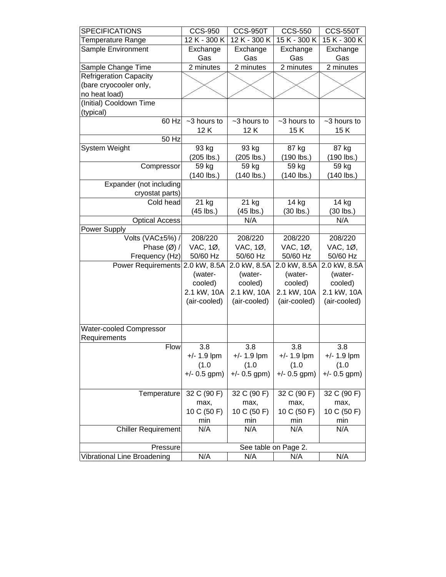| <b>SPECIFICATIONS</b>         | <b>CCS-950</b>       | <b>CCS-950T</b> | <b>CCS-550</b> | <b>CCS-550T</b> |  |
|-------------------------------|----------------------|-----------------|----------------|-----------------|--|
| Temperature Range             | 12 K - 300 K         | 12 K - 300 K    | 15 K - 300 K   | 15 K - 300 K    |  |
| Sample Environment            | Exchange             | Exchange        | Exchange       | Exchange        |  |
|                               | Gas                  | Gas             | Gas            | Gas             |  |
| Sample Change Time            | 2 minutes            | 2 minutes       | 2 minutes      | 2 minutes       |  |
| <b>Refrigeration Capacity</b> |                      |                 |                |                 |  |
| (bare cryocooler only,        |                      |                 |                |                 |  |
| no heat load)                 |                      |                 |                |                 |  |
| (Initial) Cooldown Time       |                      |                 |                |                 |  |
| (typical)                     |                      |                 |                |                 |  |
| 60 Hz                         | ~3 hours to          | ~3 hours to     | ~3 hours to    | ~3 hours to     |  |
|                               | 12K                  | 12K             | 15K            | 15K             |  |
| 50 Hz                         |                      |                 |                |                 |  |
| <b>System Weight</b>          | 93 kg                | 93 kg           | 87 kg          | 87 kg           |  |
|                               | $(205$ lbs.)         | (205 lbs.)      | (190 lbs.)     | $(190$ lbs.)    |  |
| Compressor                    | 59 kg                | 59 kg           | 59 kg          | 59 kg           |  |
|                               | $(140$ lbs.)         | (140 lbs.)      | (140 lbs.)     | (140 lbs.)      |  |
| Expander (not including       |                      |                 |                |                 |  |
| cryostat parts)               |                      |                 |                |                 |  |
| Cold head                     | 21 kg                | 21 kg           | 14 kg          | 14 kg           |  |
|                               | $(45$ lbs.)          | (45 lbs.)       | $(30$ lbs.)    | $(30$ lbs.)     |  |
| <b>Optical Access</b>         |                      | N/A             |                | N/A             |  |
| Power Supply                  |                      |                 |                |                 |  |
| Volts (VAC±5%) /              | 208/220              | 208/220         | 208/220        | 208/220         |  |
| Phase $(\emptyset)$ /         | VAC, 1Ø,             | VAC, 1Ø,        | VAC, 1Ø,       | VAC, 1Ø,        |  |
| Frequency (Hz)                | 50/60 Hz             | 50/60 Hz        | 50/60 Hz       | 50/60 Hz        |  |
| Power Requirements            | 2.0 kW, 8.5A         | 2.0 kW, 8.5A    | 2.0 kW, 8.5A   | 2.0 kW, 8.5A    |  |
|                               | (water-              | (water-         | (water-        | (water-         |  |
|                               | cooled)              | cooled)         | cooled)        | cooled)         |  |
|                               | 2.1 kW, 10A          | 2.1 kW, 10A     | 2.1 kW, 10A    | 2.1 kW, 10A     |  |
|                               | (air-cooled)         | (air-cooled)    | (air-cooled)   | (air-cooled)    |  |
|                               |                      |                 |                |                 |  |
|                               |                      |                 |                |                 |  |
| Water-cooled Compressor       |                      |                 |                |                 |  |
| Requirements                  |                      |                 |                |                 |  |
| <b>Flow</b>                   | 3.8                  | 3.8             | 3.8            | 3.8             |  |
|                               | $+/- 1.9$ lpm        | $+/- 1.9$ lpm   | $+/- 1.9$ lpm  | $+/- 1.9$ lpm   |  |
|                               | (1.0)                | (1.0)           | (1.0)          | (1.0)           |  |
|                               | $+/- 0.5$ gpm)       | $+/- 0.5$ gpm)  | $+/- 0.5$ gpm) | $+/- 0.5$ gpm)  |  |
|                               |                      |                 |                |                 |  |
| Temperature                   | 32 C (90 F)          | 32 C (90 F)     | 32 C (90 F)    | 32 C (90 F)     |  |
|                               | max,                 | max,            | max,           | max,            |  |
|                               | 10 C (50 F)          | 10 C (50 F)     | 10 C (50 F)    | 10 C (50 F)     |  |
|                               | min                  | min             | min            | min             |  |
| <b>Chiller Requirement</b>    | N/A                  | N/A             | N/A            | N/A             |  |
|                               |                      |                 |                |                 |  |
| Pressure                      | See table on Page 2. |                 |                |                 |  |
| Vibrational Line Broadening   | N/A                  | N/A             | N/A            | N/A             |  |